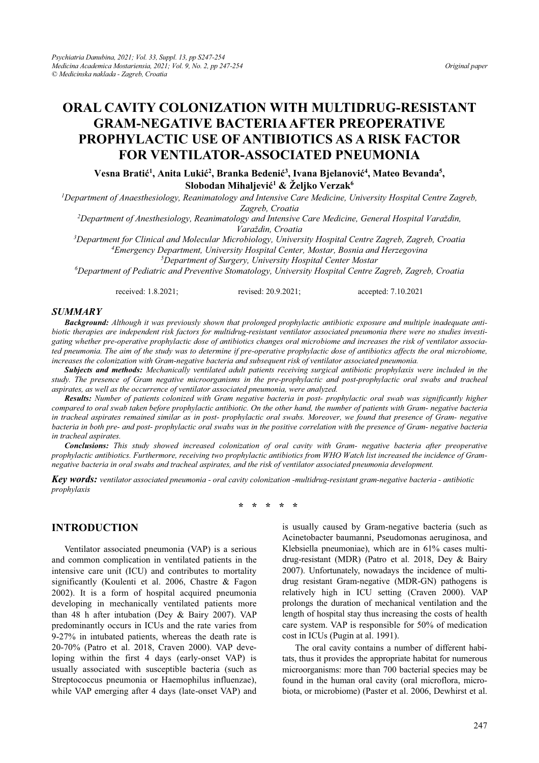# **ORAL CAVITY COLONIZATION WITH MULTIDRUG-RESISTANT GRAM-NEGATIVE BACTERIA AFTER PREOPERATIVE PROPHYLACTIC USE OF ANTIBIOTICS AS A RISK FACTOR FOR VENTILATOR-ASSOCIATED PNEUMONIA**

 $V$ esna Bratić<sup>1</sup>, Anita Lukić<sup>2</sup>, Branka Bedenić<sup>3</sup>, Ivana Bjelanović<sup>4</sup>, Mateo Bevanda<sup>5</sup>,  $\delta$ Slobodan Mihaljević<sup>1</sup> & Željko Verzak $^6$ 

<sup>1</sup>Department of Anaesthesiology, Reanimatology and Intensive Care Medicine, University Hospital Centre Zagreb,

*Zagreb, Croatia 2 Department of Anesthesiology, Reanimatology and Intensive Care Medicine, General HospitaO9DUDåGLQ*

*Paraždin, Croatia*<br><sup>3</sup>Denartment for Clinical and Molecular Microbiology, Univers *Department for Clinical and Molecular Microbiology, University Hospital Centre Zagreb, Zagreb, Croatia 4 Emergency Department, University Hospital Center, Mostar, Bosnia and Herzegovina 5*

*Department of Surgery, University Hospital Center Mostar 6*

*Department of Pediatric and Preventive Stomatology, University Hospital Centre Zagreb, Zagreb, Croatia* 

received: 1.8.2021; revised: 20.9.2021; accepted: 7.10.2021

#### *SUMMARY*

*Background: Although it was previously shown that prolonged prophylactic antibiotic exposure and multiple inadequate antibiotic therapies are independent risk factors for multidrug-resistant ventilator associated pneumonia there were no studies investigating whether pre-operative prophylactic dose of antibiotics changes oral microbiome and increases the risk of ventilator associated pneumonia. The aim of the study was to determine if pre-operative prophylactic dose of antibiotics affects the oral microbiome, increases the colonization with Gram-negative bacteria and subsequent risk of ventilator associated pneumonia.* 

*Subjects and methods: Mechanically ventilated adult patients receiving surgical antibiotic prophylaxis were included in the study. The presence of Gram negative microorganisms in the pre-prophylactic and post-prophylactic oral swabs and tracheal aspirates, as well as the occurrence of ventilator associated pneumonia, were analyzed.* 

*Results: Number of patients colonized with Gram negative bacteria in post- prophylactic oral swab was significantly higher compared to oral swab taken before prophylactic antibiotic. On the other hand, the number of patients with Gram- negative bacteria in tracheal aspirates remained similar as in post- prophylactic oral swabs. Moreover, we found that presence of Gram- negative bacteria in both pre- and post- prophylactic oral swabs was in the positive correlation with the presence of Gram- negative bacteria in tracheal aspirates.* 

*Conclusions: This study showed increased colonization of oral cavity with Gram- negative bacteria after preoperative prophylactic antibiotics. Furthermore, receiving two prophylactic antibiotics from WHO Watch list increased the incidence of Gramnegative bacteria in oral swabs and tracheal aspirates, and the risk of ventilator associated pneumonia development.* 

*Key words: ventilator associated pneumonia - oral cavity colonization -multidrug-resistant gram-negative bacteria - antibiotic prophylaxis* 

**\* \* \* \* \*** 

### **INTRODUCTION**

Ventilator associated pneumonia (VAP) is a serious and common complication in ventilated patients in the intensive care unit (ICU) and contributes to mortality significantly (Koulenti et al. 2006, Chastre & Fagon 2002). It is a form of hospital acquired pneumonia developing in mechanically ventilated patients more than 48 h after intubation (Dey & Bairy 2007). VAP predominantly occurs in ICUs and the rate varies from 9-27% in intubated patients, whereas the death rate is 20-70% (Patro et al. 2018, Craven 2000). VAP developing within the first 4 days (early-onset VAP) is usually associated with susceptible bacteria (such as Streptococcus pneumonia or Haemophilus influenzae), while VAP emerging after 4 days (late-onset VAP) and

is usually caused by Gram-negative bacteria (such as Acinetobacter baumanni, Pseudomonas aeruginosa, and Klebsiella pneumoniae), which are in 61% cases multidrug-resistant (MDR) (Patro et al. 2018, Dey & Bairy 2007). Unfortunately, nowadays the incidence of multidrug resistant Gram-negative (MDR-GN) pathogens is relatively high in ICU setting (Craven 2000). VAP prolongs the duration of mechanical ventilation and the length of hospital stay thus increasing the costs of health care system. VAP is responsible for 50% of medication cost in ICUs (Pugin at al. 1991).

The oral cavity contains a number of different habitats, thus it provides the appropriate habitat for numerous microorganisms: more than 700 bacterial species may be found in the human oral cavity (oral microflora, microbiota, or microbiome) (Paster et al. 2006, Dewhirst et al.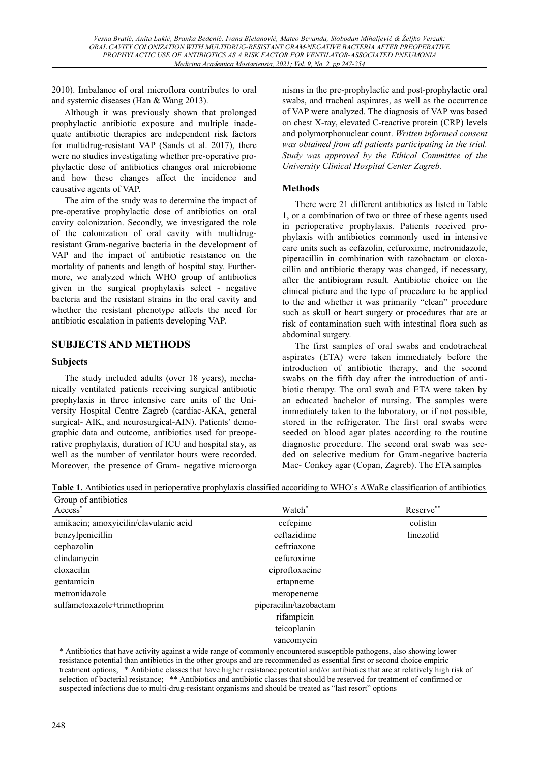2010). Imbalance of oral microflora contributes to oral and systemic diseases (Han & Wang 2013).

Although it was previously shown that prolonged prophylactic antibiotic exposure and multiple inadequate antibiotic therapies are independent risk factors for multidrug-resistant VAP (Sands et al. 2017), there were no studies investigating whether pre-operative prophylactic dose of antibiotics changes oral microbiome and how these changes affect the incidence and causative agents of VAP.

The aim of the study was to determine the impact of pre-operative prophylactic dose of antibiotics on oral cavity colonization. Secondly, we investigated the role of the colonization of oral cavity with multidrugresistant Gram-negative bacteria in the development of VAP and the impact of antibiotic resistance on the mortality of patients and length of hospital stay. Furthermore, we analyzed which WHO group of antibiotics given in the surgical prophylaxis select - negative bacteria and the resistant strains in the oral cavity and whether the resistant phenotype affects the need for antibiotic escalation in patients developing VAP.

# **SUBJECTS AND METHODS**

### **Subjects**

The study included adults (over 18 years), mechanically ventilated patients receiving surgical antibiotic prophylaxis in three intensive care units of the University Hospital Centre Zagreb (cardiac-AKA, general surgical- AIK, and neurosurgical-AIN). Patients' demographic data and outcome, antibiotics used for preoperative prophylaxis, duration of ICU and hospital stay, as well as the number of ventilator hours were recorded. Moreover, the presence of Gram- negative microorga nisms in the pre-prophylactic and post-prophylactic oral swabs, and tracheal aspirates, as well as the occurrence of VAP were analyzed. The diagnosis of VAP was based on chest X-ray, elevated C-reactive protein (CRP) levels and polymorphonuclear count. *Written informed consent was obtained from all patients participating in the trial. Study was approved by the Ethical Committee of the University Clinical Hospital Center Zagreb.* 

### **Methods**

There were 21 different antibiotics as listed in Table 1, or a combination of two or three of these agents used in perioperative prophylaxis. Patients received prophylaxis with antibiotics commonly used in intensive care units such as cefazolin, cefuroxime, metronidazole, piperacillin in combination with tazobactam or cloxacillin and antibiotic therapy was changed, if necessary, after the antibiogram result. Antibiotic choice on the clinical picture and the type of procedure to be applied to the and whether it was primarily "clean" procedure such as skull or heart surgery or procedures that are at risk of contamination such with intestinal flora such as abdominal surgery.

The first samples of oral swabs and endotracheal aspirates (ETA) were taken immediately before the introduction of antibiotic therapy, and the second swabs on the fifth day after the introduction of antibiotic therapy. The oral swab and ETA were taken by an educated bachelor of nursing. The samples were immediately taken to the laboratory, or if not possible, stored in the refrigerator. The first oral swabs were seeded on blood agar plates according to the routine diagnostic procedure. The second oral swab was seeded on selective medium for Gram-negative bacteria Mac- Conkey agar (Copan, Zagreb). The ETA samples

**Table 1.** Antibiotics used in perioperative prophylaxis classified accoriding to WHO's AWaRe classification of antibiotics

| Group of antibiotics                  |                        |           |
|---------------------------------------|------------------------|-----------|
| Access <sup>*</sup>                   | Watch*                 | Reserve** |
| amikacin; amoxyicilin/clavulanic acid | cefepime               | colistin  |
| benzylpenicillin                      | ceftazidime            | linezolid |
| cephazolin                            | ceftriaxone            |           |
| clindamycin                           | cefuroxime             |           |
| cloxacilin                            | ciprofloxacine         |           |
| gentamicin                            | ertapneme              |           |
| metronidazole                         | meropeneme             |           |
| sulfametoxazole+trimethoprim          | piperacilin/tazobactam |           |
|                                       | rifampicin             |           |
|                                       | teicoplanin            |           |
|                                       | vancomycin             |           |

\* Antibiotics that have activity against a wide range of commonly encountered susceptible pathogens, also showing lower resistance potential than antibiotics in the other groups and are recommended as essential first or second choice empiric treatment options; \* Antibiotic classes that have higher resistance potential and/or antibiotics that are at relatively high risk of selection of bacterial resistance; \*\* Antibiotics and antibiotic classes that should be reserved for treatment of confirmed or suspected infections due to multi-drug-resistant organisms and should be treated as "last resort" options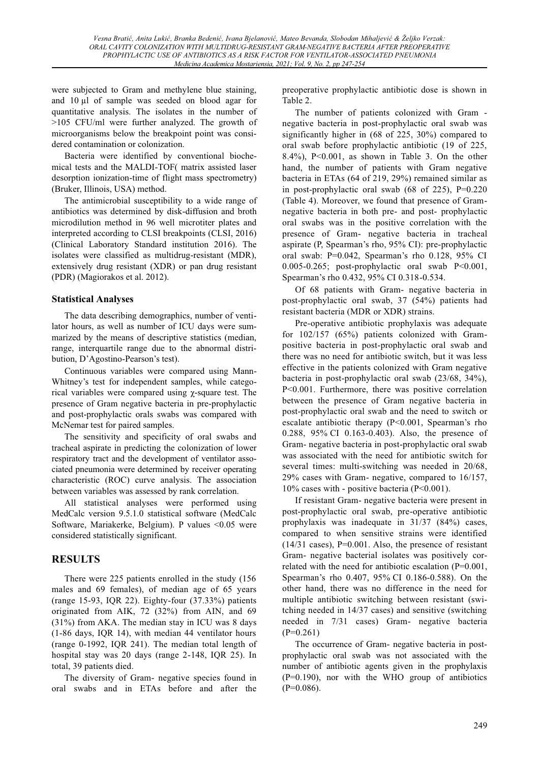were subjected to Gram and methylene blue staining, and  $10 \mu l$  of sample was seeded on blood agar for quantitative analysis. The isolates in the number of >105 CFU/ml were further analyzed. The growth of microorganisms below the breakpoint point was considered contamination or colonization.

Bacteria were identified by conventional biochemical tests and the MALDI-TOF( matrix assisted laser desorption ionization-time of flight mass spectrometry) (Bruker, Illinois, USA) method.

The antimicrobial susceptibility to a wide range of antibiotics was determined by disk-diffusion and broth microdilution method in 96 well microtiter plates and interpreted according to CLSI breakpoints (CLSI, 2016) (Clinical Laboratory Standard institution 2016). The isolates were classified as multidrug-resistant (MDR), extensively drug resistant (XDR) or pan drug resistant (PDR) (Magiorakos et al. 2012).

## **Statistical Analyses**

The data describing demographics, number of ventilator hours, as well as number of ICU days were summarized by the means of descriptive statistics (median, range, interquartile range due to the abnormal distribution, D'Agostino-Pearson's test).

Continuous variables were compared using Mann- Whitney's test for independent samples, while categorical variables were compared using  $\chi$ -square test. The presence of Gram negative bacteria in pre-prophylactic and post-prophylactic orals swabs was compared with McNemar test for paired samples.

The sensitivity and specificity of oral swabs and tracheal aspirate in predicting the colonization of lower respiratory tract and the development of ventilator associated pneumonia were determined by receiver operating characteristic (ROC) curve analysis. The association between variables was assessed by rank correlation.

All statistical analyses were performed using MedCalc version 9.5.1.0 statistical software (MedCalc Software, Mariakerke, Belgium). P values <0.05 were considered statistically significant.

# **RESULTS**

There were 225 patients enrolled in the study (156 males and 69 females), of median age of 65 years (range 15-93, IQR 22). Eighty-four (37.33%) patients originated from AIK, 72 (32%) from AIN, and 69 (31%) from AKA. The median stay in ICU was 8 days (1-86 days, IQR 14), with median 44 ventilator hours (range 0-1992, IQR 241). The median total length of hospital stay was 20 days (range 2-148, IQR 25). In total, 39 patients died.

The diversity of Gram- negative species found in oral swabs and in ETAs before and after the preoperative prophylactic antibiotic dose is shown in Table 2.

The number of patients colonized with Gram negative bacteria in post-prophylactic oral swab was significantly higher in (68 of 225, 30%) compared to oral swab before prophylactic antibiotic (19 of 225, 8.4%), P<0.001, as shown in Table 3. On the other hand, the number of patients with Gram negative bacteria in ETAs (64 of 219, 29%) remained similar as in post-prophylactic oral swab (68 of 225), P=0.220 (Table 4). Moreover, we found that presence of Gramnegative bacteria in both pre- and post- prophylactic oral swabs was in the positive correlation with the presence of Gram- negative bacteria in tracheal aspirate (P, Spearman's rho,  $95\%$  CI): pre-prophylactic oral swab:  $P=0.042$ , Spearman's rho 0.128, 95% CI 0.005-0.265; post-prophylactic oral swab P<0.001, Spearman's rho 0.432, 95% CI 0.318-0.534.

Of 68 patients with Gram- negative bacteria in post-prophylactic oral swab, 37 (54%) patients had resistant bacteria (MDR or XDR) strains.

Pre-operative antibiotic prophylaxis was adequate for 102/157 (65%) patients colonized with Grampositive bacteria in post-prophylactic oral swab and there was no need for antibiotic switch, but it was less effective in the patients colonized with Gram negative bacteria in post-prophylactic oral swab (23/68, 34%), P<0.001. Furthermore, there was positive correlation between the presence of Gram negative bacteria in post-prophylactic oral swab and the need to switch or escalate antibiotic therapy (P<0.001, Spearman's rho 0.288, 95% CI 0.163-0.403). Also, the presence of Gram- negative bacteria in post-prophylactic oral swab was associated with the need for antibiotic switch for several times: multi-switching was needed in 20/68, 29% cases with Gram- negative, compared to 16/157, 10% cases with - positive bacteria (P<0.001).

If resistant Gram- negative bacteria were present in post-prophylactic oral swab, pre-operative antibiotic prophylaxis was inadequate in 31/37 (84%) cases, compared to when sensitive strains were identified  $(14/31 \text{ cases})$ , P=0.001. Also, the presence of resistant Gram- negative bacterial isolates was positively correlated with the need for antibiotic escalation (P=0.001, Spearman's rho  $0.407$ ,  $95\%$  CI  $0.186-0.588$ ). On the other hand, there was no difference in the need for multiple antibiotic switching between resistant (switching needed in 14/37 cases) and sensitive (switching needed in 7/31 cases) Gram- negative bacteria  $(P=0.261)$ 

The occurrence of Gram- negative bacteria in postprophylactic oral swab was not associated with the number of antibiotic agents given in the prophylaxis (P=0.190), nor with the WHO group of antibiotics  $(P=0.086)$ .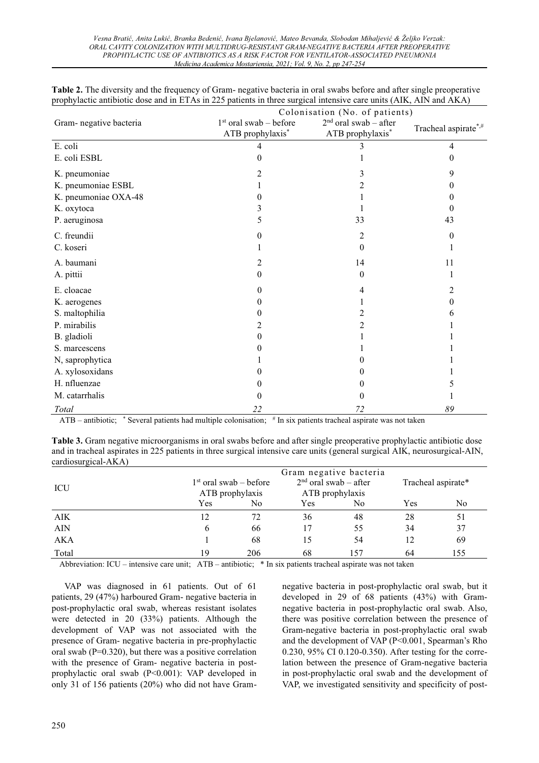|                                 | Colonisation (No. of patients)               |                                             |                      |  |  |
|---------------------------------|----------------------------------------------|---------------------------------------------|----------------------|--|--|
| Gram- negative bacteria         | $1st$ oral swab – before<br>ATB prophylaxis* | $2nd$ oral swab - after<br>ATB prophylaxis* | Tracheal aspirate*,# |  |  |
| E. coli                         |                                              |                                             | 4                    |  |  |
| E. coli ESBL                    | 0                                            |                                             | $\Omega$             |  |  |
| K. pneumoniae                   |                                              | 3                                           | 9                    |  |  |
| K. pneumoniae ESBL              |                                              | 2                                           | 0                    |  |  |
| K. pneumoniae OXA-48            |                                              |                                             |                      |  |  |
| K. oxytoca                      |                                              |                                             | 0                    |  |  |
| P. aeruginosa                   |                                              | 33                                          | 43                   |  |  |
| C. freundii                     |                                              | 2                                           | $\theta$             |  |  |
| C. koseri                       |                                              | $\theta$                                    |                      |  |  |
| A. baumani                      |                                              | 14                                          | 11                   |  |  |
| A. pittii                       | 0                                            | $\theta$                                    |                      |  |  |
| E. cloacae                      |                                              |                                             |                      |  |  |
| K. aerogenes                    |                                              |                                             | 0                    |  |  |
| S. maltophilia                  |                                              |                                             |                      |  |  |
| P. mirabilis                    |                                              |                                             |                      |  |  |
| B. gladioli                     |                                              |                                             |                      |  |  |
| S. marcescens                   |                                              |                                             |                      |  |  |
| N, saprophytica                 |                                              | 0                                           |                      |  |  |
| A. xylosoxidans                 |                                              | $\mathbf{\Omega}$                           |                      |  |  |
| H. nfluenzae                    |                                              | $_{0}$                                      |                      |  |  |
| M. catarrhalis                  | $\Omega$                                     | 0                                           |                      |  |  |
| Total<br>$*$ $\sim$<br>$\cdots$ | 22<br>$H =$                                  | 72                                          | 89                   |  |  |

**Table 2.** The diversity and the frequency of Gram- negative bacteria in oral swabs before and after single preoperative prophylactic antibiotic dose and in ETAs in 225 patients in three surgical intensive care units (AIK, AIN and AKA)

ATB – antibiotic; \* Several patients had multiple colonisation; # In six patients tracheal aspirate was not taken

**Table 3.** Gram negative microorganisms in oral swabs before and after single preoperative prophylactic antibiotic dose and in tracheal aspirates in 225 patients in three surgical intensive care units (general surgical AIK, neurosurgical-AIN, cardiosurgical-AKA)

| ICU        | Gram negative bacteria<br>$2nd$ oral swab – after<br>$1st$ oral swab – before<br>ATB prophylaxis<br>ATB prophylaxis |     |     | Tracheal aspirate* |     |     |
|------------|---------------------------------------------------------------------------------------------------------------------|-----|-----|--------------------|-----|-----|
|            | Yes                                                                                                                 | No  | Yes | No                 | Yes | No  |
| <b>AIK</b> | 12                                                                                                                  |     | 36  | 48                 | 28  | 51  |
| <b>AIN</b> | b                                                                                                                   | 66  | 17  | 55                 | 34  | 37  |
| AKA        |                                                                                                                     | 68  | 15  | 54                 | 12  | 69  |
| Total      | 19                                                                                                                  | 206 | 68  | 157                | 64  | 155 |

Abbreviation: ICU – intensive care unit;  $ATB$  – antibiotic;  $*$  In six patients tracheal aspirate was not taken

VAP was diagnosed in 61 patients. Out of 61 patients, 29 (47%) harboured Gram- negative bacteria in post-prophylactic oral swab, whereas resistant isolates were detected in 20 (33%) patients. Although the development of VAP was not associated with the presence of Gram- negative bacteria in pre-prophylactic oral swab (P=0.320), but there was a positive correlation with the presence of Gram- negative bacteria in postprophylactic oral swab (P<0.001): VAP developed in only 31 of 156 patients (20%) who did not have Gramnegative bacteria in post-prophylactic oral swab, but it developed in 29 of 68 patients (43%) with Gramnegative bacteria in post-prophylactic oral swab. Also, there was positive correlation between the presence of Gram-negative bacteria in post-prophylactic oral swab and the development of VAP ( $P \le 0.001$ , Spearman's Rho 0.230, 95% CI 0.120-0.350). After testing for the correlation between the presence of Gram-negative bacteria in post-prophylactic oral swab and the development of VAP, we investigated sensitivity and specificity of post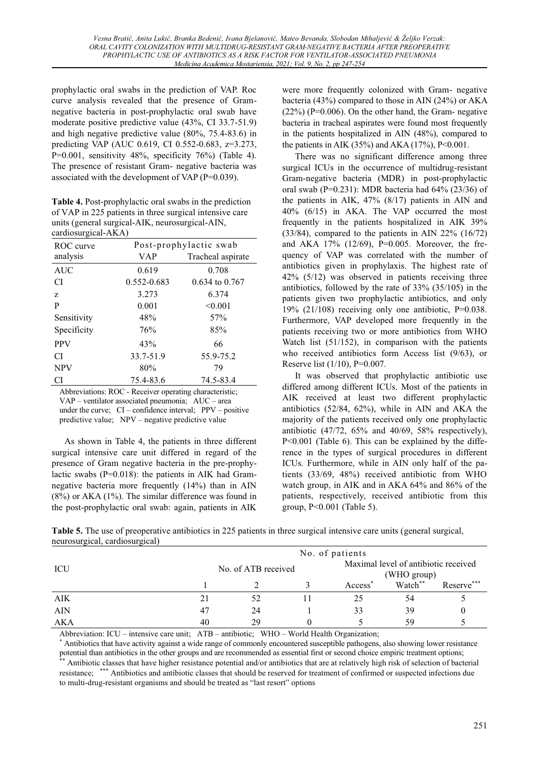prophylactic oral swabs in the prediction of VAP. Roc curve analysis revealed that the presence of Gramnegative bacteria in post-prophylactic oral swab have moderate positive predictive value (43%, CI 33.7-51.9) and high negative predictive value (80%, 75.4-83.6) in predicting VAP (AUC 0.619, CI 0.552-0.683, z=3.273, P=0.001, sensitivity  $48\%$ , specificity  $76\%$ ) (Table 4). The presence of resistant Gram- negative bacteria was associated with the development of VAP (P=0.039).

**Table 4.** Post-prophylactic oral swabs in the prediction of VAP in 225 patients in three surgical intensive care units (general surgical-AIK, neurosurgical-AIN, cardiosurgical-AKA)

| $\frac{1}{2}$<br>ROC curve | Post-prophylactic swab |                    |  |  |
|----------------------------|------------------------|--------------------|--|--|
| analysis                   | <b>VAP</b>             | Tracheal aspirate  |  |  |
| <b>AUC</b>                 | 0.619                  | 0.708              |  |  |
| CI                         | 0.552-0.683            | $0.634$ to $0.767$ |  |  |
| Z                          | 3.273                  | 6.374              |  |  |
| P                          | 0.001                  | < 0.001            |  |  |
| Sensitivity                | 48%                    | 57%                |  |  |
| Specificity                | 76%                    | 85%                |  |  |
| <b>PPV</b>                 | 43%                    | 66                 |  |  |
| СI                         | 33.7-51.9              | 55.9-75.2          |  |  |
| <b>NPV</b>                 | 80%                    | 79                 |  |  |
| СI                         | 75.4-83.6              | 74.5-83.4          |  |  |

Abbreviations: ROC - Receiver operating characteristic;  $VAP -$  ventilator associated pneumonia;  $AUC -$ area under the curve;  $CI$  – confidence interval;  $PPV$  – positive predictive value;  $NPV$  – negative predictive value

As shown in Table 4, the patients in three different surgical intensive care unit differed in regard of the presence of Gram negative bacteria in the pre-prophylactic swabs ( $P=0.018$ ): the patients in AIK had Gramnegative bacteria more frequently (14%) than in AIN (8%) or AKA (1%). The similar difference was found in the post-prophylactic oral swab: again, patients in AIK were more frequently colonized with Gram- negative bacteria (43%) compared to those in AIN (24%) or AKA  $(22\%)$  (P=0.006). On the other hand, the Gram- negative bacteria in tracheal aspirates were found most frequently in the patients hospitalized in AIN (48%), compared to the patients in AIK (35%) and AKA (17%),  $P \le 0.001$ .

There was no significant difference among three surgical ICUs in the occurrence of multidrug-resistant Gram-negative bacteria (MDR) in post-prophylactic oral swab (P=0.231): MDR bacteria had 64% (23/36) of the patients in AIK, 47% (8/17) patients in AIN and 40% (6/15) in AKA. The VAP occurred the most frequently in the patients hospitalized in AIK 39% (33/84), compared to the patients in AIN 22% (16/72) and AKA 17% (12/69), P=0.005. Moreover, the frequency of VAP was correlated with the number of antibiotics given in prophylaxis. The highest rate of 42% (5/12) was observed in patients receiving three antibiotics, followed by the rate of 33% (35/105) in the patients given two prophylactic antibiotics, and only 19% (21/108) receiving only one antibiotic,  $P=0.038$ . Furthermore, VAP developed more frequently in the patients receiving two or more antibiotics from WHO Watch list (51/152), in comparison with the patients who received antibiotics form Access list (9/63), or Reserve list (1/10), P=0.007.

It was observed that prophylactic antibiotic use differed among different ICUs. Most of the patients in AIK received at least two different prophylactic antibiotics (52/84, 62%), while in AIN and AKA the majority of the patients received only one prophylactic antibiotic (47/72, 65% and 40/69, 58% respectively), P<0.001 (Table 6). This can be explained by the difference in the types of surgical procedures in different ICUs. Furthermore, while in AIN only half of the patients (33/69, 48%) received antibiotic from WHO watch group, in AIK and in AKA 64% and 86% of the patients, respectively, received antibiotic from this group, P<0.001 (Table 5).

**Table 5.** The use of preoperative antibiotics in 225 patients in three surgical intensive care units (general surgical, neurosurgical, cardiosurgical)

|            |                     | No. of patients |  |                     |                                                     |            |  |
|------------|---------------------|-----------------|--|---------------------|-----------------------------------------------------|------------|--|
| ICU        | No. of ATB received |                 |  |                     | Maximal level of antibiotic received<br>(WHO group) |            |  |
|            |                     |                 |  | Access <sup>3</sup> | Watch**                                             | Reserve*** |  |
| AIK        | 21                  | 52              |  | 25                  | 54                                                  |            |  |
| <b>AIN</b> | 47                  | 24              |  | 33                  | 39                                                  |            |  |
| AKA        | 40                  | 29              |  |                     | 59                                                  |            |  |

Abbreviation: ICU  $-$  intensive care unit; ATB  $-$  antibiotic; WHO  $-$  World Health Organization;<br>\* Antibiotics that have activity against a wide range of commonly encountered susceptible pathogens, also showing lower res potential than antibiotics in the other groups and are recommended as essential first or second choice empiric treatment options;<br>\*\* Antibiotic classes that have higher resistance potential and/or antibiotics that are at r

resistance; \*\*\* Antibiotics and antibiotic classes that should be reserved for treatment of confirmed or suspected infections due to multi-drug-resistant organisms and should be treated as "last resort" options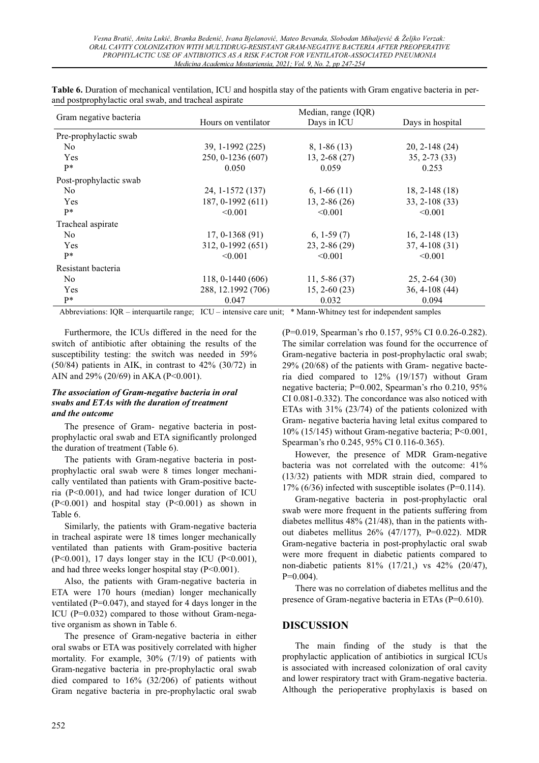|                        |                     | Median, range (IQR) |                   |  |  |  |
|------------------------|---------------------|---------------------|-------------------|--|--|--|
| Gram negative bacteria | Hours on ventilator | Days in ICU         | Days in hospital  |  |  |  |
| Pre-prophylactic swab  |                     |                     |                   |  |  |  |
| N <sub>0</sub>         | 39, 1-1992 (225)    | $8, 1-86(13)$       | $20, 2 - 148(24)$ |  |  |  |
| Yes                    | 250, 0-1236 (607)   | $13, 2 - 68(27)$    | $35, 2 - 73$ (33) |  |  |  |
| $P*$                   | 0.050               | 0.059               | 0.253             |  |  |  |
| Post-prophylactic swab |                     |                     |                   |  |  |  |
| No.                    | 24, 1-1572 (137)    | $6, 1-66(11)$       | $18, 2 - 148(18)$ |  |  |  |
| Yes                    | 187, 0-1992 (611)   | $13, 2 - 86(26)$    | 33, 2-108 (33)    |  |  |  |
| $P*$                   | < 0.001             | < 0.001             | < 0.001           |  |  |  |
| Tracheal aspirate      |                     |                     |                   |  |  |  |
| N <sub>0</sub>         | $17, 0-1368(91)$    | $6, 1-59(7)$        | $16, 2-148(13)$   |  |  |  |
| Yes                    | 312, 0-1992 (651)   | $23, 2 - 86(29)$    | $37, 4-108(31)$   |  |  |  |
| $P*$                   | < 0.001             | < 0.001             | < 0.001           |  |  |  |
| Resistant bacteria     |                     |                     |                   |  |  |  |
| N <sub>0</sub>         | 118, 0-1440 $(606)$ | $11, 5 - 86(37)$    | $25, 2-64(30)$    |  |  |  |
| Yes                    | 288, 12.1992 (706)  | $15, 2 - 60(23)$    | $36, 4-108(44)$   |  |  |  |
| $P*$                   | 0.047               | 0.032               | 0.094             |  |  |  |

**Table 6.** Duration of mechanical ventilation, ICU and hospitla stay of the patients with Gram engative bacteria in perand postprophylactic oral swab, and tracheal aspirate

Abbreviations: IQR - interquartile range; ICU - intensive care unit; \* Mann-Whitney test for independent samples

Furthermore, the ICUs differed in the need for the switch of antibiotic after obtaining the results of the susceptibility testing: the switch was needed in 59% (50/84) patients in AIK, in contrast to 42% (30/72) in AIN and 29% (20/69) in AKA (P<0.001).

#### *The association of Gram-negative bacteria in oral swabs and ETAs with the duration of treatment and the outcome*

The presence of Gram- negative bacteria in postprophylactic oral swab and ETA significantly prolonged the duration of treatment (Table 6).

The patients with Gram-negative bacteria in postprophylactic oral swab were 8 times longer mechanically ventilated than patients with Gram-positive bacteria (P<0.001), and had twice longer duration of ICU  $(P<0.001)$  and hospital stay  $(P<0.001)$  as shown in Table 6.

Similarly, the patients with Gram-negative bacteria in tracheal aspirate were 18 times longer mechanically ventilated than patients with Gram-positive bacteria  $(P<0.001)$ , 17 days longer stay in the ICU  $(P<0.001)$ , and had three weeks longer hospital stay (P<0.001).

Also, the patients with Gram-negative bacteria in ETA were 170 hours (median) longer mechanically ventilated ( $P=0.047$ ), and stayed for 4 days longer in the ICU (P=0.032) compared to those without Gram-negative organism as shown in Table 6.

The presence of Gram-negative bacteria in either oral swabs or ETA was positively correlated with higher mortality. For example, 30% (7/19) of patients with Gram-negative bacteria in pre-prophylactic oral swab died compared to 16% (32/206) of patients without Gram negative bacteria in pre-prophylactic oral swab  $(P=0.019$ , Spearman's rho 0.157, 95% CI 0.0.26-0.282). The similar correlation was found for the occurrence of Gram-negative bacteria in post-prophylactic oral swab; 29% (20/68) of the patients with Gram- negative bacteria died compared to 12% (19/157) without Gram negative bacteria; P=0.002, Spearman's rho 0.210, 95% CI 0.081-0.332). The concordance was also noticed with ETAs with 31% (23/74) of the patients colonized with Gram- negative bacteria having letal exitus compared to 10% (15/145) without Gram-negative bacteria; P<0.001, Spearman's rho 0.245, 95% CI 0.116-0.365).

However, the presence of MDR Gram-negative bacteria was not correlated with the outcome: 41% (13/32) patients with MDR strain died, compared to 17% (6/36) infected with susceptible isolates (P=0.114).

Gram-negative bacteria in post-prophylactic oral swab were more frequent in the patients suffering from diabetes mellitus 48% (21/48), than in the patients without diabetes mellitus 26% (47/177), P=0.022). MDR Gram-negative bacteria in post-prophylactic oral swab were more frequent in diabetic patients compared to non-diabetic patients 81% (17/21,) vs 42% (20/47),  $P=0.004$ ).

There was no correlation of diabetes mellitus and the presence of Gram-negative bacteria in ETAs (P=0.610).

# **DISCUSSION**

The main finding of the study is that the prophylactic application of antibiotics in surgical ICUs is associated with increased colonization of oral cavity and lower respiratory tract with Gram-negative bacteria. Although the perioperative prophylaxis is based on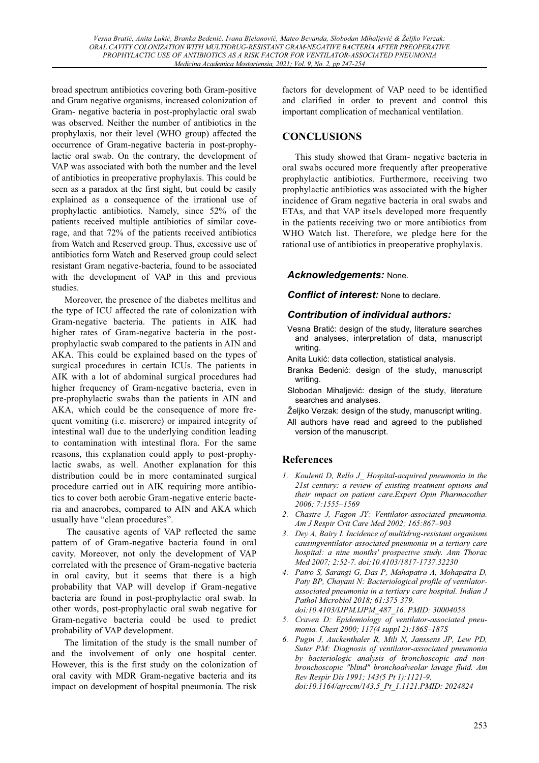broad spectrum antibiotics covering both Gram-positive and Gram negative organisms, increased colonization of Gram- negative bacteria in post-prophylactic oral swab was observed. Neither the number of antibiotics in the prophylaxis, nor their level (WHO group) affected the occurrence of Gram-negative bacteria in post-prophylactic oral swab. On the contrary, the development of VAP was associated with both the number and the level of antibiotics in preoperative prophylaxis. This could be seen as a paradox at the first sight, but could be easily explained as a consequence of the irrational use of prophylactic antibiotics. Namely, since 52% of the patients received multiple antibiotics of similar coverage, and that 72% of the patients received antibiotics from Watch and Reserved group. Thus, excessive use of antibiotics form Watch and Reserved group could select resistant Gram negative-bacteria, found to be associated with the development of VAP in this and previous studies.

Moreover, the presence of the diabetes mellitus and the type of ICU affected the rate of colonization with Gram-negative bacteria. The patients in AIK had higher rates of Gram-negative bacteria in the postprophylactic swab compared to the patients in AIN and AKA. This could be explained based on the types of surgical procedures in certain ICUs. The patients in AIK with a lot of abdominal surgical procedures had higher frequency of Gram-negative bacteria, even in pre-prophylactic swabs than the patients in AIN and AKA, which could be the consequence of more frequent vomiting (i.e. miserere) or impaired integrity of intestinal wall due to the underlying condition leading to contamination with intestinal flora. For the same reasons, this explanation could apply to post-prophylactic swabs, as well. Another explanation for this distribution could be in more contaminated surgical procedure carried out in AIK requiring more antibiotics to cover both aerobic Gram-negative enteric bacteria and anaerobes, compared to AIN and AKA which usually have "clean procedures".

 The causative agents of VAP reflected the same pattern of of Gram-negative bacteria found in oral cavity. Moreover, not only the development of VAP correlated with the presence of Gram-negative bacteria in oral cavity, but it seems that there is a high probability that VAP will develop if Gram-negative bacteria are found in post-prophylactic oral swab. In other words, post-prophylactic oral swab negative for Gram-negative bacteria could be used to predict probability of VAP development.

The limitation of the study is the small number of and the involvement of only one hospital center. However, this is the first study on the colonization of oral cavity with MDR Gram-negative bacteria and its impact on development of hospital pneumonia. The risk

factors for development of VAP need to be identified and clarified in order to prevent and control this important complication of mechanical ventilation.

# **CONCLUSIONS**

This study showed that Gram- negative bacteria in oral swabs occured more frequently after preoperative prophylactic antibiotics. Furthermore, receiving two prophylactic antibiotics was associated with the higher incidence of Gram negative bacteria in oral swabs and ETAs, and that VAP itsels developed more frequently in the patients receiving two or more antibiotics from WHO Watch list. Therefore, we pledge here for the rational use of antibiotics in preoperative prophylaxis.

# *Acknowledgements:* None.

*Conflict of interest:* None to declare.

# *Contribution of individual authors:*

- Vesna Bratić: design of the study, literature searches and analyses, interpretation of data, manuscript writing.
- Anita Lukić: data collection, statistical analysis.
- Branka Bedenić: design of the study, manuscript writing.
- Slobodan Mihaljević: design of the study, literature searches and analyses.
- Željko Verzak: design of the study, manuscript writing.
- All authors have read and agreed to the published version of the manuscript.

# **References**

- *1. Koulenti D, Rello J\_ Hospital-acquired pneumonia in the 21st century: a review of existing treatment options and their impact on patient care.Expert Opin Pharmacother 2006; 7:1555±1569*
- *2. Chastre J, Fagon JY: Ventilator-associated pneumonia. Am J Respir Crit Care Med 2002; 165:867±903*
- *3. Dey A, Bairy I. Incidence of multidrug-resistant organisms causingventilator-associated pneumonia in a tertiary care hospital: a nine months' prospective study. Ann Thorac Med 2007; 2:52-7. doi:10.4103/1817-1737.32230*
- *4. Patro S, Sarangi G, Das P, Mahapatra A, Mohapatra D, Paty BP, Chayani N: Bacteriological profile of ventilatorassociated pneumonia in a tertiary care hospital. Indian J Pathol Microbiol 2018; 61:375-379. doi:10.4103/IJPM.IJPM\_487\_16. PMID: 30004058*
- *5. Craven D: Epidemiology of ventilator-associated pneumonia. Chest 2000; 117(4 suppl 2):186S±187S*
- *6. Pugin J, Auckenthaler R, Mili N, Janssens JP, Lew PD, Suter PM: Diagnosis of ventilator-associated pneumonia by bacteriologic analysis of bronchoscopic and nonbronchoscopic "blind" bronchoalveolar lavage fluid. Am Rev Respir Dis 1991; 143(5 Pt 1):1121-9. doi:10.1164/ajrccm/143.5\_Pt\_1.1121.PMID: 2024824*